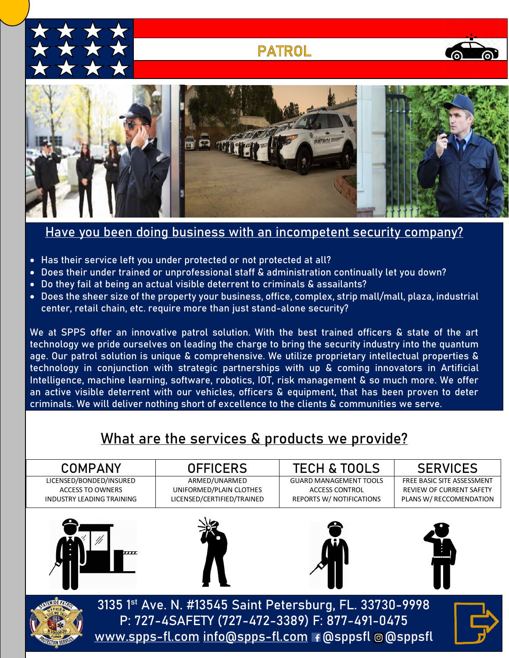

## **PATROL**





### Have you been doing business with an incompetent security company?

- Has their service left you under protected or not protected at all?
- Does their under trained or unprofessional staff & administration continually let you down?
- Do they fail at being an actual visible deterrent to criminals & assailants?
- Does the sheer size of the property your business, office, complex, strip mall/mall, plaza, industrial center, retail chain, etc. require more than just stand-alone security?

We at SPPS offer an innovative patrol solution. With the best trained officers & state of the art technology we pride ourselves on leading the charge to bring the security industry into the quantum age. Our patrol solution is unique & comprehensive. We utilize proprietary intellectual properties & technology in conjunction with strategic partnerships with up & coming innovators in Artificial Intelligence, machine learning, software, robotics, IOT, risk management & so much more. We offer an active visible deterrent with our vehicles, officers & equipment, that has been proven to deter criminals. We will deliver nothing short of excellence to the clients & communities we serve.

# What are the services & products we provide?

| <b>COMPANY</b>                   |                                                                                                           | <b>OFFICERS</b>            | <b>TECH &amp; TOOLS</b>         | <b>SERVICES</b>                 |
|----------------------------------|-----------------------------------------------------------------------------------------------------------|----------------------------|---------------------------------|---------------------------------|
| LICENSED/BONDED/INSURED          |                                                                                                           | ARMED/UNARMED              | <b>GUARD MANAGEMENT TOOLS</b>   | FREE BASIC SITE ASSESSMENT      |
| <b>ACCESS TO OWNERS</b>          |                                                                                                           | UNIFORMED/PLAIN CLOTHES    | <b>ACCESS CONTROL</b>           | <b>REVIEW OF CURRENT SAFETY</b> |
| <b>INDUSTRY LEADING TRAINING</b> |                                                                                                           | LICENSED/CERTIFIED/TRAINED | <b>REPORTS W/ NOTIFICATIONS</b> | PLANS W/ RECCOMENDATION         |
|                                  | 7777                                                                                                      |                            |                                 |                                 |
|                                  | 3135 1st Ave. N. #13545 Saint Petersburg, FL. 33730-9998<br>P: 727-4SAFETY (727-472-3389) F: 877-491-0475 |                            |                                 |                                 |
|                                  | www.spps-fl.com info@spps-fl.com +@sppsfl @@sppsfl                                                        |                            |                                 |                                 |